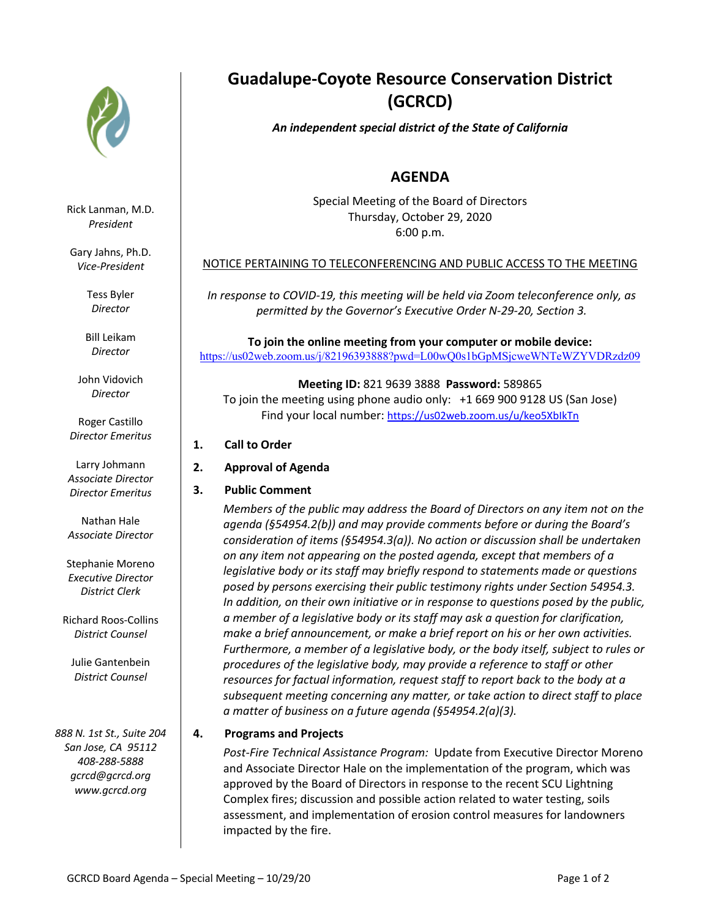

Rick Lanman, M.D. *President*

Gary Jahns, Ph.D. *Vice-President*

> Tess Byler *Director*

Bill Leikam *Director*

John Vidovich *Director*

Roger Castillo *Director Emeritus*

Larry Johmann *Associate Director Director Emeritus*

Nathan Hale *Associate Director*

Stephanie Moreno *Executive Director District Clerk*

Richard Roos-Collins *District Counsel*

Julie Gantenbein *District Counsel*

*888 N. 1st St., Suite 204 San Jose, CA 95112 408-288-5888 gcrcd@gcrcd.org www.gcrcd.org*

# **Guadalupe-Coyote Resource Conservation District (GCRCD)**

## *An independent special district of the State of California*

## **AGENDA**

Special Meeting of the Board of Directors Thursday, October 29, 2020 6:00 p.m.

### NOTICE PERTAINING TO TELECONFERENCING AND PUBLIC ACCESS TO THE MEETING

*In response to COVID-19, this meeting will be held via Zoom teleconference only, as permitted by the Governor's Executive Order N-29-20, Section 3.*

**To join the online meeting from your computer or mobile device:**  https://us02web.zoom.us/j/82196393888?pwd=L00wQ0s1bGpMSjcweWNTeWZYVDRzdz09

**Meeting ID:** 821 9639 3888 **Password:** 589865 To join the meeting using phone audio only: +1 669 900 9128 US (San Jose) Find your local number: https://us02web.zoom.us/u/keo5XbIkTn

- **1. Call to Order**
- **2. Approval of Agenda**
- **3. Public Comment**

*Members of the public may address the Board of Directors on any item not on the agenda (§54954.2(b)) and may provide comments before or during the Board's consideration of items (§54954.3(a)). No action or discussion shall be undertaken on any item not appearing on the posted agenda, except that members of a legislative body or its staff may briefly respond to statements made or questions posed by persons exercising their public testimony rights under Section 54954.3. In addition, on their own initiative or in response to questions posed by the public, a member of a legislative body or its staff may ask a question for clarification, make a brief announcement, or make a brief report on his or her own activities. Furthermore, a member of a legislative body, or the body itself, subject to rules or procedures of the legislative body, may provide a reference to staff or other resources for factual information, request staff to report back to the body at a subsequent meeting concerning any matter, or take action to direct staff to place a matter of business on a future agenda (§54954.2(a)(3).* 

### **4. Programs and Projects**

*Post-Fire Technical Assistance Program:* Update from Executive Director Moreno and Associate Director Hale on the implementation of the program, which was approved by the Board of Directors in response to the recent SCU Lightning Complex fires; discussion and possible action related to water testing, soils assessment, and implementation of erosion control measures for landowners impacted by the fire.